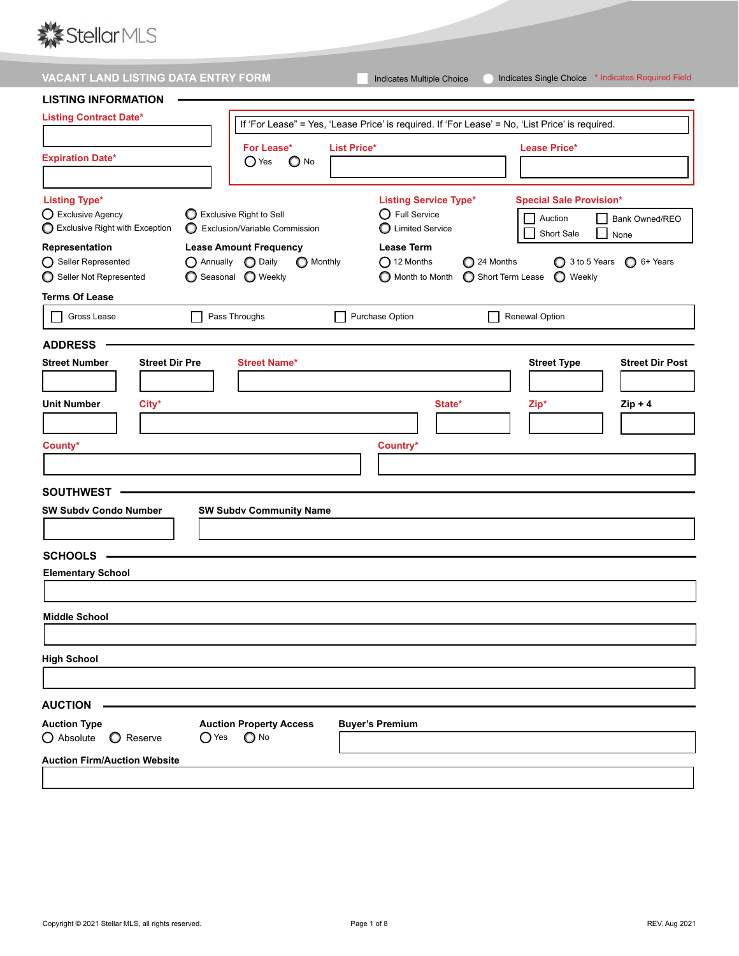

| VACANT LAND LISTING DATA ENTRY FORM     |                                                          | Indicates Multiple Choice                                                                       | Indicates Single Choice * Indicates Required Field |
|-----------------------------------------|----------------------------------------------------------|-------------------------------------------------------------------------------------------------|----------------------------------------------------|
| <b>LISTING INFORMATION</b>              |                                                          |                                                                                                 |                                                    |
| <b>Listing Contract Date*</b>           |                                                          |                                                                                                 |                                                    |
|                                         |                                                          | If 'For Lease" = Yes, 'Lease Price' is required. If 'For Lease' = No, 'List Price' is required. |                                                    |
| <b>Expiration Date*</b>                 | For Lease*                                               | <b>List Price*</b>                                                                              | <b>Lease Price*</b>                                |
|                                         | $\bigcirc$ Yes<br>$\bigcirc$ No                          |                                                                                                 |                                                    |
|                                         |                                                          |                                                                                                 |                                                    |
| <b>Listing Type*</b>                    |                                                          | <b>Listing Service Type*</b>                                                                    | <b>Special Sale Provision*</b>                     |
| O Exclusive Agency                      | Exclusive Right to Sell                                  | $\bigcirc$ Full Service                                                                         | Auction<br>Bank Owned/REO                          |
| Exclusive Right with Exception          | Exclusion/Variable Commission                            | C Limited Service                                                                               | Short Sale<br>None                                 |
| Representation                          | <b>Lease Amount Frequency</b>                            | <b>Lease Term</b>                                                                               |                                                    |
| ◯ Seller Represented                    | $\bigcirc$ Annually $\bigcirc$ Daily<br><b>O</b> Monthly | $\bigcirc$ 12 Months<br>24 Months                                                               | 3 to 5 Years<br>$\bigcirc$ 6+ Years                |
| Seller Not Represented                  | ◯ Seasonal ◯ Weekly                                      | Month to Month<br>Short Term Lease                                                              | $\bigcirc$ Weekly                                  |
| <b>Terms Of Lease</b>                   |                                                          |                                                                                                 |                                                    |
| Gross Lease                             | Pass Throughs                                            | Purchase Option                                                                                 | <b>Renewal Option</b>                              |
| <b>ADDRESS</b>                          |                                                          |                                                                                                 |                                                    |
| Street Number<br><b>Street Dir Pre</b>  | <b>Street Name*</b>                                      |                                                                                                 | <b>Street Type</b><br><b>Street Dir Post</b>       |
|                                         |                                                          |                                                                                                 |                                                    |
|                                         |                                                          |                                                                                                 |                                                    |
| <b>Unit Number</b><br>City*             |                                                          | State*                                                                                          | Zip*<br>$Zip + 4$                                  |
|                                         |                                                          |                                                                                                 |                                                    |
| County*                                 |                                                          | Country*                                                                                        |                                                    |
|                                         |                                                          |                                                                                                 |                                                    |
|                                         |                                                          |                                                                                                 |                                                    |
| <b>SOUTHWEST</b>                        |                                                          |                                                                                                 |                                                    |
| <b>SW Subdy Condo Number</b>            | <b>SW Subdv Community Name</b>                           |                                                                                                 |                                                    |
|                                         |                                                          |                                                                                                 |                                                    |
|                                         |                                                          |                                                                                                 |                                                    |
| <b>SCHOOLS</b>                          |                                                          |                                                                                                 |                                                    |
| <b>Elementary School</b>                |                                                          |                                                                                                 |                                                    |
|                                         |                                                          |                                                                                                 |                                                    |
| <b>Middle School</b>                    |                                                          |                                                                                                 |                                                    |
|                                         |                                                          |                                                                                                 |                                                    |
|                                         |                                                          |                                                                                                 |                                                    |
| <b>High School</b>                      |                                                          |                                                                                                 |                                                    |
|                                         |                                                          |                                                                                                 |                                                    |
| <b>AUCTION</b>                          |                                                          |                                                                                                 |                                                    |
| <b>Auction Type</b>                     | <b>Auction Property Access</b>                           | <b>Buyer's Premium</b>                                                                          |                                                    |
| $\bigcirc$ Absolute<br><b>O</b> Reserve | $\bigcirc$ No<br>$\bigcirc$ Yes                          |                                                                                                 |                                                    |
| <b>Auction Firm/Auction Website</b>     |                                                          |                                                                                                 |                                                    |
|                                         |                                                          |                                                                                                 |                                                    |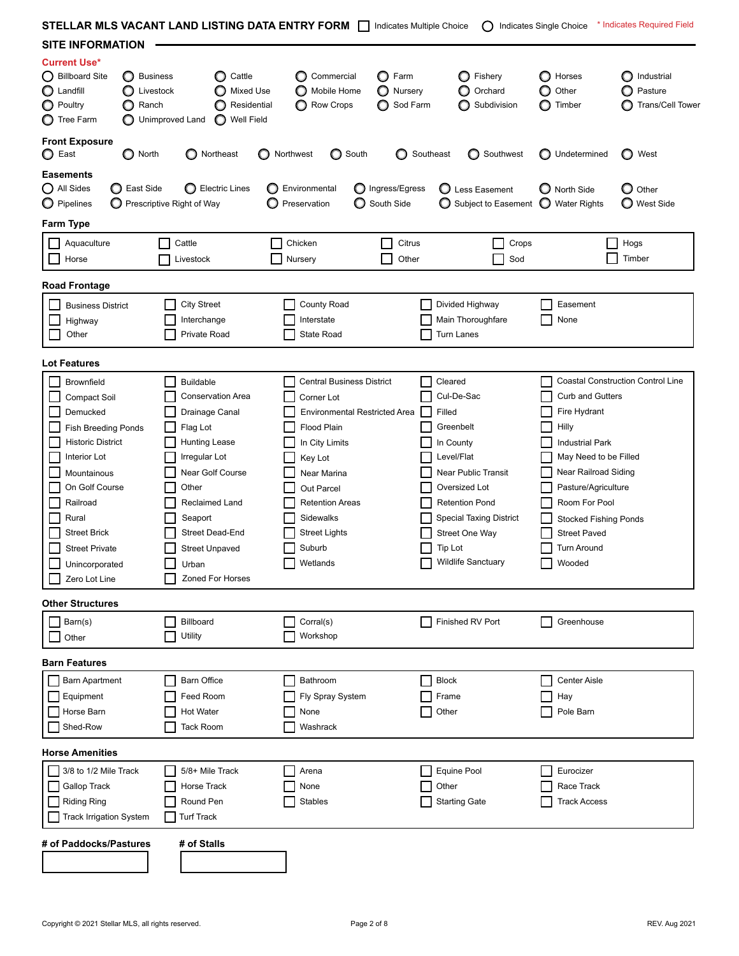| STELLAR MLS VACANT LAND LISTING DATA ENTRY FORM   Indicates Multiple Choice                                                                                                                                                                                                          |                                                                                                                                                                                                                                                        |                                                                                                                                                                                                                                                      |                                       | $\left( \ \right)$                                                                                                                                                                                                                          | Indicates Single Choice                                                                                                                                                                                                                                    | * Indicates Required Field                       |
|--------------------------------------------------------------------------------------------------------------------------------------------------------------------------------------------------------------------------------------------------------------------------------------|--------------------------------------------------------------------------------------------------------------------------------------------------------------------------------------------------------------------------------------------------------|------------------------------------------------------------------------------------------------------------------------------------------------------------------------------------------------------------------------------------------------------|---------------------------------------|---------------------------------------------------------------------------------------------------------------------------------------------------------------------------------------------------------------------------------------------|------------------------------------------------------------------------------------------------------------------------------------------------------------------------------------------------------------------------------------------------------------|--------------------------------------------------|
| <b>SITE INFORMATION</b>                                                                                                                                                                                                                                                              |                                                                                                                                                                                                                                                        |                                                                                                                                                                                                                                                      |                                       |                                                                                                                                                                                                                                             |                                                                                                                                                                                                                                                            |                                                  |
| <b>Current Use*</b><br>◯ Billboard Site<br><b>Business</b><br>O<br>Landfill<br>O<br>Livestock<br><b>O</b> Poultry<br>Ranch<br><b>O</b> Tree Farm                                                                                                                                     | Cattle<br>Mixed Use<br>Residential<br>Unimproved Land<br>Well Field                                                                                                                                                                                    | Commercial<br>Mobile Home<br>Row Crops                                                                                                                                                                                                               | Farm<br>O<br>O<br>Nursery<br>Sod Farm | Fishery<br>Orchard<br>Subdivision                                                                                                                                                                                                           | Horses<br>Other<br>O<br>Timber                                                                                                                                                                                                                             | Industrial<br>Pasture<br><b>Trans/Cell Tower</b> |
| <b>Front Exposure</b><br><b>O</b> North<br>$\bigcirc$ East                                                                                                                                                                                                                           | ◯ Northeast                                                                                                                                                                                                                                            | Northwest<br>◯ South<br>O                                                                                                                                                                                                                            | Southeast<br>O                        | Southwest<br>O                                                                                                                                                                                                                              | Undetermined                                                                                                                                                                                                                                               | ◯ West                                           |
| Easements<br>O All Sides<br>◯ East Side<br>O Pipelines                                                                                                                                                                                                                               | Electric Lines<br>$\bigcirc$ Prescriptive Right of Way                                                                                                                                                                                                 | Environmental<br>Preservation                                                                                                                                                                                                                        | Ingress/Egress<br>South Side          | C Less Easement<br>O<br>Subject to Easement                                                                                                                                                                                                 | North Side<br>O<br>$\circ$<br><b>Water Rights</b>                                                                                                                                                                                                          | $\mathbf{\mathbf{O}}$ Other<br>◯ West Side       |
| Farm Type                                                                                                                                                                                                                                                                            |                                                                                                                                                                                                                                                        |                                                                                                                                                                                                                                                      |                                       |                                                                                                                                                                                                                                             |                                                                                                                                                                                                                                                            |                                                  |
| Aquaculture<br>Horse                                                                                                                                                                                                                                                                 | Cattle<br>Livestock                                                                                                                                                                                                                                    | Chicken<br>Nursery                                                                                                                                                                                                                                   | Citrus<br>Other                       | Crops<br>Sod                                                                                                                                                                                                                                |                                                                                                                                                                                                                                                            | Hogs<br>Timber                                   |
| <b>Road Frontage</b>                                                                                                                                                                                                                                                                 |                                                                                                                                                                                                                                                        |                                                                                                                                                                                                                                                      |                                       |                                                                                                                                                                                                                                             |                                                                                                                                                                                                                                                            |                                                  |
| <b>Business District</b><br>Highway<br>Other                                                                                                                                                                                                                                         | <b>City Street</b><br>Interchange<br>Private Road                                                                                                                                                                                                      | <b>County Road</b><br>Interstate<br>State Road                                                                                                                                                                                                       |                                       | Divided Highway<br>Main Thoroughfare<br>Turn Lanes                                                                                                                                                                                          | Easement<br>None                                                                                                                                                                                                                                           |                                                  |
| <b>Lot Features</b>                                                                                                                                                                                                                                                                  |                                                                                                                                                                                                                                                        |                                                                                                                                                                                                                                                      |                                       |                                                                                                                                                                                                                                             |                                                                                                                                                                                                                                                            |                                                  |
| Brownfield<br>Compact Soil<br>Demucked<br><b>Fish Breeding Ponds</b><br><b>Historic District</b><br>Interior Lot<br>Mountainous<br>On Golf Course<br>Railroad<br>Rural<br><b>Street Brick</b><br><b>Street Private</b><br>Unincorporated<br>Zero Lot Line<br><b>Other Structures</b> | <b>Buildable</b><br><b>Conservation Area</b><br>Drainage Canal<br>Flag Lot<br><b>Hunting Lease</b><br>Irregular Lot<br>Near Golf Course<br>Other<br>Reclaimed Land<br>Seaport<br>Street Dead-End<br><b>Street Unpaved</b><br>Urban<br>Zoned For Horses | <b>Central Business District</b><br>Corner Lot<br>Environmental Restricted Area<br><b>Flood Plain</b><br>In City Limits<br>Key Lot<br>Near Marina<br>Out Parcel<br><b>Retention Areas</b><br>Sidewalks<br><b>Street Lights</b><br>Suburb<br>Wetlands |                                       | Cleared<br>Cul-De-Sac<br>Filled<br>Greenbelt<br>In County<br>Level/Flat<br>Near Public Transit<br>Oversized Lot<br><b>Retention Pond</b><br><b>Special Taxing District</b><br>Street One Way<br><b>Tip Lot</b><br><b>Wildlife Sanctuary</b> | <b>Curb and Gutters</b><br>Fire Hydrant<br>Hilly<br><b>Industrial Park</b><br>May Need to be Filled<br>Near Railroad Siding<br>Pasture/Agriculture<br>Room For Pool<br><b>Stocked Fishing Ponds</b><br><b>Street Paved</b><br><b>Turn Around</b><br>Wooded | <b>Coastal Construction Control Line</b>         |
| Barn(s)                                                                                                                                                                                                                                                                              | Billboard                                                                                                                                                                                                                                              | Corral(s)                                                                                                                                                                                                                                            |                                       | Finished RV Port                                                                                                                                                                                                                            | Greenhouse                                                                                                                                                                                                                                                 |                                                  |
| Other                                                                                                                                                                                                                                                                                | Utility                                                                                                                                                                                                                                                | Workshop                                                                                                                                                                                                                                             |                                       |                                                                                                                                                                                                                                             |                                                                                                                                                                                                                                                            |                                                  |
| <b>Barn Features</b>                                                                                                                                                                                                                                                                 |                                                                                                                                                                                                                                                        |                                                                                                                                                                                                                                                      |                                       |                                                                                                                                                                                                                                             |                                                                                                                                                                                                                                                            |                                                  |
| <b>Barn Apartment</b><br>Equipment<br>Horse Barn<br>Shed-Row                                                                                                                                                                                                                         | Barn Office<br>Feed Room<br>Hot Water<br>Tack Room                                                                                                                                                                                                     | Bathroom<br>Fly Spray System<br>None<br>Washrack                                                                                                                                                                                                     |                                       | <b>Block</b><br>Frame<br>Other                                                                                                                                                                                                              | <b>Center Aisle</b><br>Hay<br>Pole Barn                                                                                                                                                                                                                    |                                                  |
| <b>Horse Amenities</b>                                                                                                                                                                                                                                                               |                                                                                                                                                                                                                                                        |                                                                                                                                                                                                                                                      |                                       |                                                                                                                                                                                                                                             |                                                                                                                                                                                                                                                            |                                                  |
| 3/8 to 1/2 Mile Track<br>Gallop Track<br><b>Riding Ring</b><br><b>Track Irrigation System</b>                                                                                                                                                                                        | 5/8+ Mile Track<br>Horse Track<br>Round Pen<br><b>Turf Track</b>                                                                                                                                                                                       | Arena<br>None<br><b>Stables</b>                                                                                                                                                                                                                      |                                       | Equine Pool<br>Other<br><b>Starting Gate</b>                                                                                                                                                                                                | Eurocizer<br>Race Track<br><b>Track Access</b>                                                                                                                                                                                                             |                                                  |
| # of Paddocks/Pastures                                                                                                                                                                                                                                                               | # of Stalls                                                                                                                                                                                                                                            |                                                                                                                                                                                                                                                      |                                       |                                                                                                                                                                                                                                             |                                                                                                                                                                                                                                                            |                                                  |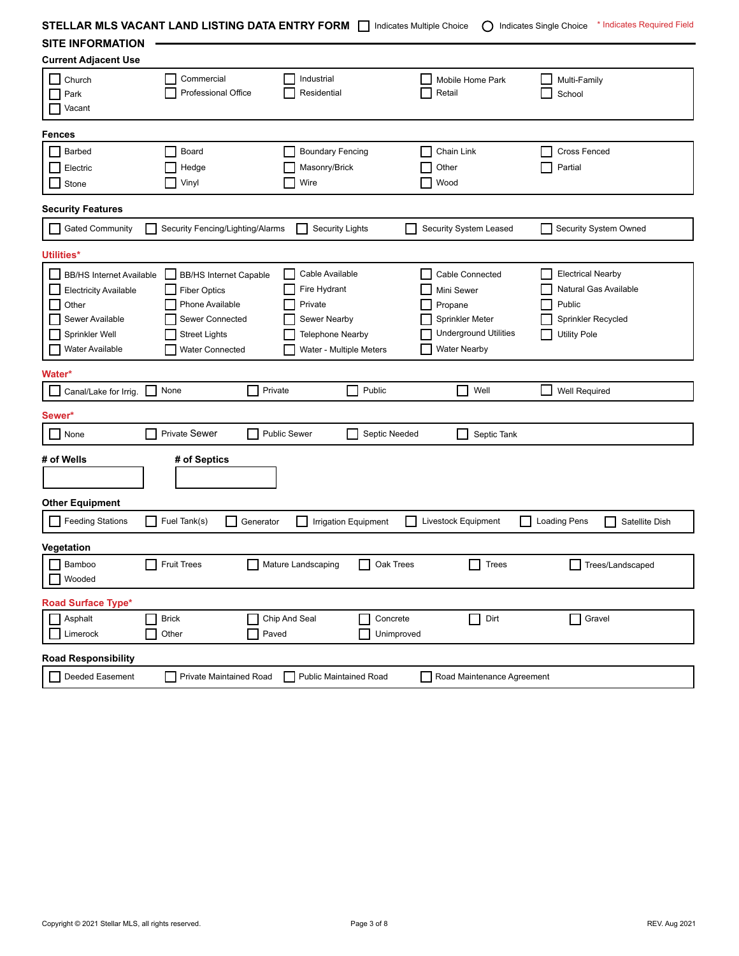| STELLAR MLS VACANT LAND LISTING DATA ENTRY FORM $\Box$ |                                  |                         | Indicates Multiple Choice     | ( )                          | * Indicates Required Field<br>Indicates Single Choice |  |
|--------------------------------------------------------|----------------------------------|-------------------------|-------------------------------|------------------------------|-------------------------------------------------------|--|
| <b>SITE INFORMATION</b>                                |                                  |                         |                               |                              |                                                       |  |
| <b>Current Adjacent Use</b>                            |                                  |                         |                               |                              |                                                       |  |
| Church                                                 | Commercial                       | Industrial              |                               | Mobile Home Park             | Multi-Family                                          |  |
| Park                                                   | Professional Office              | Residential             |                               | Retail                       | School                                                |  |
| Vacant                                                 |                                  |                         |                               |                              |                                                       |  |
| <b>Fences</b>                                          |                                  |                         |                               |                              |                                                       |  |
| Barbed                                                 | Board                            | <b>Boundary Fencing</b> |                               | Chain Link                   | <b>Cross Fenced</b>                                   |  |
| Electric                                               | Hedge                            | Masonry/Brick           |                               | Other                        | Partial                                               |  |
| Stone                                                  | Vinyl                            | Wire                    |                               | Wood                         |                                                       |  |
| <b>Security Features</b>                               |                                  |                         |                               |                              |                                                       |  |
| <b>Gated Community</b>                                 | Security Fencing/Lighting/Alarms |                         | <b>Security Lights</b>        | Security System Leased       | Security System Owned                                 |  |
| Utilities*                                             |                                  |                         |                               |                              |                                                       |  |
| <b>BB/HS Internet Available</b>                        | <b>BB/HS Internet Capable</b>    | Cable Available         |                               | Cable Connected              | <b>Electrical Nearby</b>                              |  |
| <b>Electricity Available</b>                           | <b>Fiber Optics</b>              | Fire Hydrant            |                               | Mini Sewer                   | Natural Gas Available                                 |  |
| Other                                                  | Phone Available                  | Private                 |                               | Propane                      | Public                                                |  |
| Sewer Available                                        | Sewer Connected                  | Sewer Nearby            |                               | Sprinkler Meter              | Sprinkler Recycled                                    |  |
| Sprinkler Well                                         | <b>Street Lights</b>             | <b>Telephone Nearby</b> |                               | <b>Underground Utilities</b> | <b>Utility Pole</b>                                   |  |
| <b>Water Available</b>                                 | Water Connected                  |                         | Water - Multiple Meters       | <b>Water Nearby</b>          |                                                       |  |
| Water*                                                 |                                  |                         |                               |                              |                                                       |  |
| Canal/Lake for Irrig.                                  | None                             | Private                 | Public                        | Well                         | Well Required                                         |  |
| Sewer*                                                 |                                  |                         |                               |                              |                                                       |  |
| None                                                   | <b>Private Sewer</b>             | <b>Public Sewer</b>     | Septic Needed                 | Septic Tank                  |                                                       |  |
| # of Wells                                             | # of Septics                     |                         |                               |                              |                                                       |  |
|                                                        |                                  |                         |                               |                              |                                                       |  |
|                                                        |                                  |                         |                               |                              |                                                       |  |
| <b>Other Equipment</b>                                 |                                  |                         |                               |                              |                                                       |  |
| <b>Feeding Stations</b>                                | Fuel Tank(s)                     | Generator               | Irrigation Equipment          | Livestock Equipment          | Satellite Dish<br><b>Loading Pens</b>                 |  |
| Vegetation                                             |                                  |                         |                               |                              |                                                       |  |
| Bamboo                                                 | <b>Fruit Trees</b>               | Mature Landscaping      | Oak Trees                     | Trees                        | Trees/Landscaped                                      |  |
| Wooded                                                 |                                  |                         |                               |                              |                                                       |  |
| <b>Road Surface Type*</b>                              |                                  |                         |                               |                              |                                                       |  |
| Asphalt                                                | <b>Brick</b>                     | Chip And Seal           | Concrete                      | $\Box$<br>Dirt               | Gravel                                                |  |
| Limerock                                               | Other                            | Paved                   | Unimproved                    |                              |                                                       |  |
| <b>Road Responsibility</b>                             |                                  |                         |                               |                              |                                                       |  |
| Deeded Easement                                        | Private Maintained Road          |                         | <b>Public Maintained Road</b> | Road Maintenance Agreement   |                                                       |  |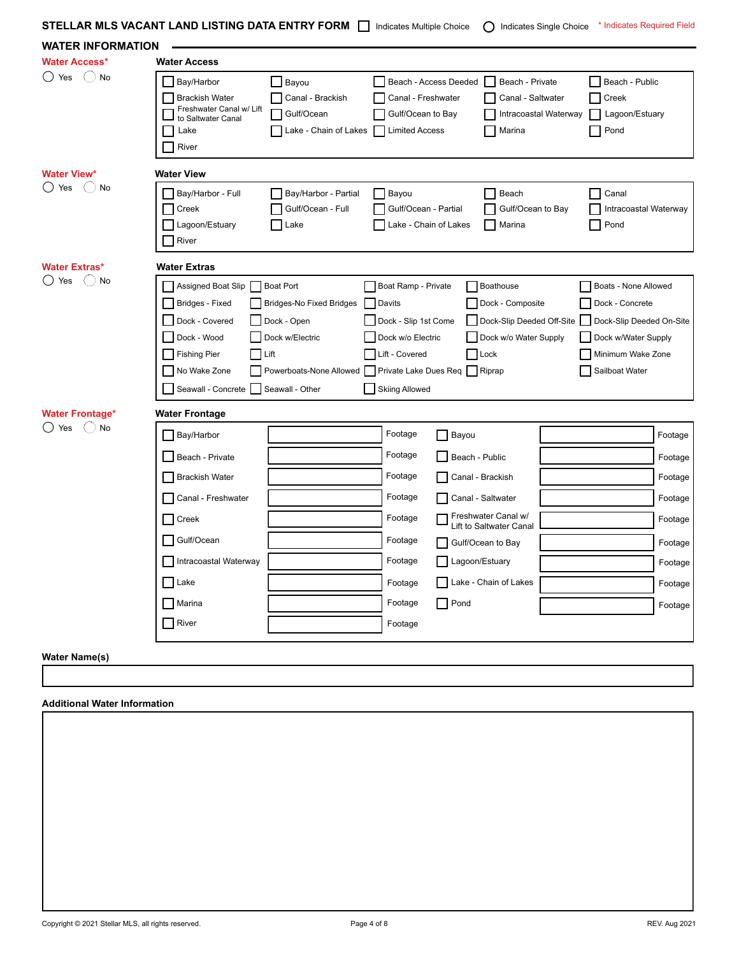| <b>STELLAR MLS VACANT LAND LISTING DATA ENTRY FORM <math>\Box</math></b> Indicates Multiple Choice $\Box$ Indicates Single Choice * Indicates Required Field |  |  |  |  |  |
|--------------------------------------------------------------------------------------------------------------------------------------------------------------|--|--|--|--|--|
|--------------------------------------------------------------------------------------------------------------------------------------------------------------|--|--|--|--|--|

| <b>WATER INFORMATION</b>                             | STELLAR MLS VACANT LAND LISTING DATA ENTRY FORM IS indicates Multiple Choice<br>() Indicates Single Choice<br>muicates Requireu Field                                                                                                                                                                                                                                                                                                                                                                                                                                                                                                                                           |                                                                                                 |
|------------------------------------------------------|---------------------------------------------------------------------------------------------------------------------------------------------------------------------------------------------------------------------------------------------------------------------------------------------------------------------------------------------------------------------------------------------------------------------------------------------------------------------------------------------------------------------------------------------------------------------------------------------------------------------------------------------------------------------------------|-------------------------------------------------------------------------------------------------|
| <b>Water Access*</b>                                 | <b>Water Access</b>                                                                                                                                                                                                                                                                                                                                                                                                                                                                                                                                                                                                                                                             |                                                                                                 |
| ◯ Yes<br>$(\ )$<br>No                                | Bay/Harbor<br>Beach - Access Deeded<br>Beach - Public<br>Bayou<br>Beach - Private<br><b>Brackish Water</b><br>Canal - Brackish<br>Canal - Freshwater<br>Canal - Saltwater<br>Creek<br>Freshwater Canal w/ Lift<br>Gulf/Ocean<br>□ Gulf/Ocean to Bay<br>Intracoastal Waterway<br>Lagoon/Estuary<br>to Saltwater Canal<br>  Lake - Chain of Lakes   Limited Access<br>Marina<br>Pond<br>Lake<br>River                                                                                                                                                                                                                                                                             |                                                                                                 |
| <b>Water View*</b><br>$\bigcirc$ Yes<br>$(\ )$<br>No | <b>Water View</b><br>Bay/Harbor - Full<br>Bay/Harbor - Partial<br>Bayou<br>Beach<br>Canal<br><b>Creek</b><br>Gulf/Ocean - Full<br>Gulf/Ocean - Partial<br>Gulf/Ocean to Bay<br>Intracoastal Waterway<br>Lagoon/Estuary<br>Lake - Chain of Lakes<br>Pond<br>Lake<br>Marina<br>River                                                                                                                                                                                                                                                                                                                                                                                              |                                                                                                 |
| <b>Water Extras*</b><br>◯ Yes<br>$()$ No             | <b>Water Extras</b><br>Assigned Boat Slip Boat Port<br>Boat Ramp - Private<br>Boathouse<br>Boats - None Allowed<br>Bridges - Fixed<br>Bridges-No Fixed Bridges<br>Davits<br>Dock - Composite<br>Dock - Concrete<br>Dock - Covered<br>Dock - Open<br>Dock - Slip 1st Come<br>Dock-Slip Deeded Off-Site<br>Dock-Slip Deeded On-Site<br>Dock - Wood<br>Dock w/Electric<br>Dock w/o Electric<br>Dock w/o Water Supply<br>Dock w/Water Supply<br>Fishing Pier<br>Lift<br>Lift - Covered<br>$\Box$ Lock<br>Minimum Wake Zone<br>No Wake Zone<br>Powerboats-None Allowed Private Lake Dues Req Riprap<br>Sailboat Water<br>Seawall - Concrete Seawall - Other<br><b>Skiing Allowed</b> |                                                                                                 |
| <b>Water Frontage*</b><br>() Yes<br>$(\ )$<br>No     | <b>Water Frontage</b><br>Footage<br>Bay/Harbor<br>Bayou<br>Footage<br>Beach - Private<br>Beach - Public<br>Footage<br>Brackish Water<br>Canal - Brackish<br>Footage<br>Canal - Freshwater<br>Canal - Saltwater<br>Freshwater Canal w/<br>Lift to Saltwater Canal<br>$\Box$ Creek<br>Footage<br>□ Gulf/Ocean<br>Footage<br>Gulf/Ocean to Bay<br>Footage<br>Intracoastal Waterway<br>Lagoon/Estuary<br>Lake<br>Lake - Chain of Lakes<br>Footage<br>Footage<br>  Marina<br>  Pond<br>River<br>Footage                                                                                                                                                                              | Footage<br>Footage<br>Footage<br>Footage<br>Footage<br>Footage<br>Footage<br>Footage<br>Footage |

## **Water Name(s)**

## **Additional Water Information**

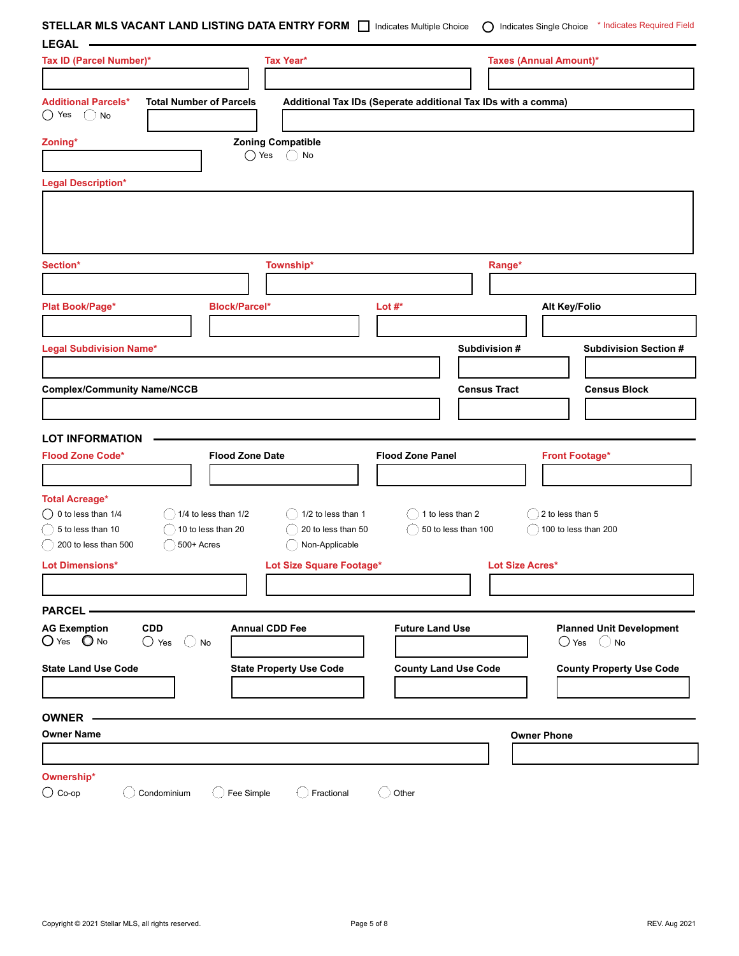**STELLAR MLS VACANT LAND LISTING DATA ENTRY FORM** Indicates Multiple Choice  $\bigcirc$  Indicates Single Choice \* Indicates Required Field

| <b>LEGAL</b>                                                                                                 |                                                       |                                                               |                                 |
|--------------------------------------------------------------------------------------------------------------|-------------------------------------------------------|---------------------------------------------------------------|---------------------------------|
| Tax ID (Parcel Number)*                                                                                      | Tax Year*                                             |                                                               | <b>Taxes (Annual Amount)*</b>   |
|                                                                                                              |                                                       |                                                               |                                 |
| <b>Additional Parcels*</b><br><b>Total Number of Parcels</b>                                                 |                                                       | Additional Tax IDs (Seperate additional Tax IDs with a comma) |                                 |
| $\bigcirc$ Yes<br>(<br>No                                                                                    |                                                       |                                                               |                                 |
|                                                                                                              |                                                       |                                                               |                                 |
| Zoning*                                                                                                      | <b>Zoning Compatible</b><br>$\bigcirc$ Yes<br>$()$ No |                                                               |                                 |
|                                                                                                              |                                                       |                                                               |                                 |
| <b>Legal Description*</b>                                                                                    |                                                       |                                                               |                                 |
|                                                                                                              |                                                       |                                                               |                                 |
|                                                                                                              |                                                       |                                                               |                                 |
|                                                                                                              |                                                       |                                                               |                                 |
| Section*                                                                                                     | Township*                                             |                                                               |                                 |
|                                                                                                              |                                                       |                                                               | Range*                          |
|                                                                                                              |                                                       |                                                               |                                 |
| Plat Book/Page*                                                                                              | <b>Block/Parcel*</b>                                  | Lot $#^*$                                                     | Alt Key/Folio                   |
|                                                                                                              |                                                       |                                                               |                                 |
| <b>Legal Subdivision Name*</b>                                                                               |                                                       | Subdivision #                                                 | <b>Subdivision Section #</b>    |
|                                                                                                              |                                                       |                                                               |                                 |
| <b>Complex/Community Name/NCCB</b>                                                                           |                                                       | <b>Census Tract</b>                                           | <b>Census Block</b>             |
|                                                                                                              |                                                       |                                                               |                                 |
|                                                                                                              |                                                       |                                                               |                                 |
|                                                                                                              |                                                       |                                                               |                                 |
| <b>LOT INFORMATION</b>                                                                                       |                                                       |                                                               |                                 |
| <b>Flood Zone Code*</b>                                                                                      | <b>Flood Zone Date</b>                                | <b>Flood Zone Panel</b>                                       | <b>Front Footage*</b>           |
|                                                                                                              |                                                       |                                                               |                                 |
|                                                                                                              |                                                       |                                                               |                                 |
| <b>Total Acreage*</b>                                                                                        |                                                       |                                                               |                                 |
| $\bigcirc$ 0 to less than 1/4<br>$($ 1/4 to less than 1/2<br>5 to less than 10<br>$\big)$ 10 to less than 20 | 1/2 to less than 1<br>20 to less than 50              | 1 to less than 2<br>50 to less than 100                       | 2 to less than 5                |
| 200 to less than 500<br>$\big)$ 500+ Acres                                                                   | Non-Applicable                                        |                                                               | 100 to less than 200            |
| <b>Lot Dimensions*</b>                                                                                       | Lot Size Square Footage*                              |                                                               | <b>Lot Size Acres*</b>          |
|                                                                                                              |                                                       |                                                               |                                 |
|                                                                                                              |                                                       |                                                               |                                 |
| <b>PARCEL -</b>                                                                                              |                                                       |                                                               |                                 |
| <b>AG Exemption</b><br><b>CDD</b>                                                                            | <b>Annual CDD Fee</b>                                 | <b>Future Land Use</b>                                        | <b>Planned Unit Development</b> |
| $O$ Yes $\Omega$ No<br>$\bigcirc$ Yes<br>$()$ No                                                             |                                                       |                                                               | $\bigcirc$ Yes<br>$\bigcirc$ No |
| <b>State Land Use Code</b>                                                                                   | <b>State Property Use Code</b>                        | <b>County Land Use Code</b>                                   | <b>County Property Use Code</b> |
|                                                                                                              |                                                       |                                                               |                                 |
|                                                                                                              |                                                       |                                                               |                                 |
| <b>OWNER</b>                                                                                                 |                                                       |                                                               |                                 |
| <b>Owner Name</b>                                                                                            |                                                       |                                                               | <b>Owner Phone</b>              |
|                                                                                                              |                                                       |                                                               |                                 |
| Ownership*<br>$\bigcirc$ Co-op                                                                               |                                                       |                                                               |                                 |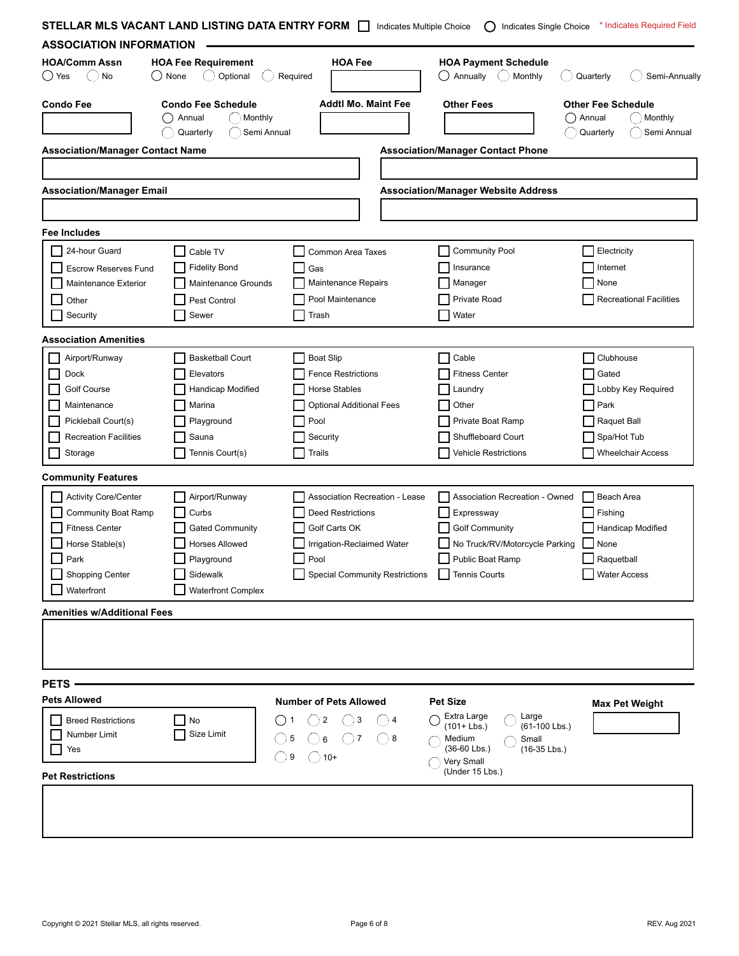| <b>ASSOCIATION INFORMATION</b>               |         | STELLAR MLS VACANT LAND LISTING DATA ENTRY FORM                            |          | Indicates Multiple Choice             | Indicates Single Choice<br>$\lambda$                         | * Indicates Required Field                                                 |
|----------------------------------------------|---------|----------------------------------------------------------------------------|----------|---------------------------------------|--------------------------------------------------------------|----------------------------------------------------------------------------|
| <b>HOA/Comm Assn</b><br>$\bigcirc$ Yes<br>No | () None | <b>HOA Fee Requirement</b><br>$(\ )$<br>Optional                           | Required | <b>HOA Fee</b>                        | <b>HOA Payment Schedule</b><br>Annually<br>$(\ )$<br>Monthly | Semi-Annually<br>Quarterly                                                 |
| <b>Condo Fee</b>                             |         | <b>Condo Fee Schedule</b><br>Monthly<br>Annual<br>Quarterly<br>Semi Annual |          | <b>Addtl Mo. Maint Fee</b>            | <b>Other Fees</b>                                            | <b>Other Fee Schedule</b><br>Monthly<br>Annual<br>Quarterly<br>Semi Annual |
| <b>Association/Manager Contact Name</b>      |         |                                                                            |          |                                       | <b>Association/Manager Contact Phone</b>                     |                                                                            |
|                                              |         |                                                                            |          |                                       |                                                              |                                                                            |
| <b>Association/Manager Email</b>             |         |                                                                            |          |                                       | <b>Association/Manager Website Address</b>                   |                                                                            |
|                                              |         |                                                                            |          |                                       |                                                              |                                                                            |
| Fee Includes                                 |         |                                                                            |          |                                       |                                                              |                                                                            |
| 24-hour Guard                                |         | Cable TV                                                                   |          | Common Area Taxes                     | <b>Community Pool</b>                                        | Electricity                                                                |
| <b>Escrow Reserves Fund</b>                  |         | <b>Fidelity Bond</b>                                                       |          | Gas                                   | Insurance                                                    | Internet                                                                   |
| Maintenance Exterior                         |         | Maintenance Grounds                                                        |          | Maintenance Repairs                   | Manager                                                      | None                                                                       |
| Other                                        |         | Pest Control                                                               |          | Pool Maintenance                      | Private Road                                                 | <b>Recreational Facilities</b>                                             |
| Security                                     |         | Sewer                                                                      |          | Trash                                 | Water                                                        |                                                                            |
| <b>Association Amenities</b>                 |         |                                                                            |          |                                       |                                                              |                                                                            |
| Airport/Runway                               |         | <b>Basketball Court</b>                                                    |          | <b>Boat Slip</b>                      | Cable                                                        | Clubhouse                                                                  |
| Dock                                         |         | Elevators                                                                  |          | <b>Fence Restrictions</b>             | <b>Fitness Center</b>                                        | Gated                                                                      |
| Golf Course                                  |         | Handicap Modified                                                          |          | Horse Stables                         | Laundry                                                      | Lobby Key Required                                                         |
| Maintenance                                  |         | Marina                                                                     |          | Optional Additional Fees              | Other                                                        | Park                                                                       |
| Pickleball Court(s)                          |         | Playground                                                                 |          | Pool                                  | Private Boat Ramp                                            | Raquet Ball                                                                |
| <b>Recreation Facilities</b>                 |         | Sauna                                                                      |          | Security                              | Shuffleboard Court                                           | Spa/Hot Tub                                                                |
| Storage                                      |         | Tennis Court(s)                                                            |          | Trails                                | <b>Vehicle Restrictions</b>                                  | <b>Wheelchair Access</b>                                                   |
|                                              |         |                                                                            |          |                                       |                                                              |                                                                            |
| <b>Community Features</b>                    |         |                                                                            |          |                                       |                                                              |                                                                            |
| <b>Activity Core/Center</b>                  |         | Airport/Runway                                                             |          | Association Recreation - Lease        | Association Recreation - Owned                               | Beach Area                                                                 |
| <b>Community Boat Ramp</b>                   |         | Curbs                                                                      |          | <b>Deed Restrictions</b>              | Expressway                                                   | Fishing                                                                    |
| <b>Fitness Center</b>                        |         | <b>Gated Community</b>                                                     |          | Golf Carts OK                         | <b>Golf Community</b>                                        | <b>Handicap Modified</b>                                                   |
| Horse Stable(s)                              |         | Horses Allowed                                                             |          | Irrigation-Reclaimed Water            | No Truck/RV/Motorcycle Parking                               | $\blacksquare$ None                                                        |
| Park                                         |         | Playground                                                                 |          | Pool                                  | Public Boat Ramp                                             | Raquetball                                                                 |
| <b>Shopping Center</b>                       |         | Sidewalk                                                                   |          | <b>Special Community Restrictions</b> | Tennis Courts                                                | <b>Water Access</b>                                                        |
| Waterfront                                   |         | <b>Waterfront Complex</b>                                                  |          |                                       |                                                              |                                                                            |
| <b>Amenities w/Additional Fees</b>           |         |                                                                            |          |                                       |                                                              |                                                                            |
|                                              |         |                                                                            |          |                                       |                                                              |                                                                            |
|                                              |         |                                                                            |          |                                       |                                                              |                                                                            |
|                                              |         |                                                                            |          |                                       |                                                              |                                                                            |
| PETS -                                       |         |                                                                            |          |                                       |                                                              |                                                                            |
| <b>Pets Allowed</b>                          |         |                                                                            |          | <b>Number of Pets Allowed</b>         | <b>Pet Size</b>                                              | <b>Max Pet Weight</b>                                                      |
| <b>Breed Restrictions</b>                    |         | No                                                                         |          | $\overline{2}$<br>3<br>4              | Extra Large<br>Large                                         |                                                                            |
| Number Limit                                 |         | Size Limit                                                                 |          | 8<br>6                                | $(101 + Lbs.)$<br>(61-100 Lbs.)<br>Medium<br>Small           |                                                                            |
| Yes                                          |         |                                                                            |          |                                       | $(36-60$ Lbs.)<br>$(16-35$ Lbs.)                             |                                                                            |
|                                              |         |                                                                            | 9        | $\bigcup$ 10+                         | Very Small<br>(Under 15 Lbs.)                                |                                                                            |
| <b>Pet Restrictions</b>                      |         |                                                                            |          |                                       |                                                              |                                                                            |
|                                              |         |                                                                            |          |                                       |                                                              |                                                                            |
|                                              |         |                                                                            |          |                                       |                                                              |                                                                            |
|                                              |         |                                                                            |          |                                       |                                                              |                                                                            |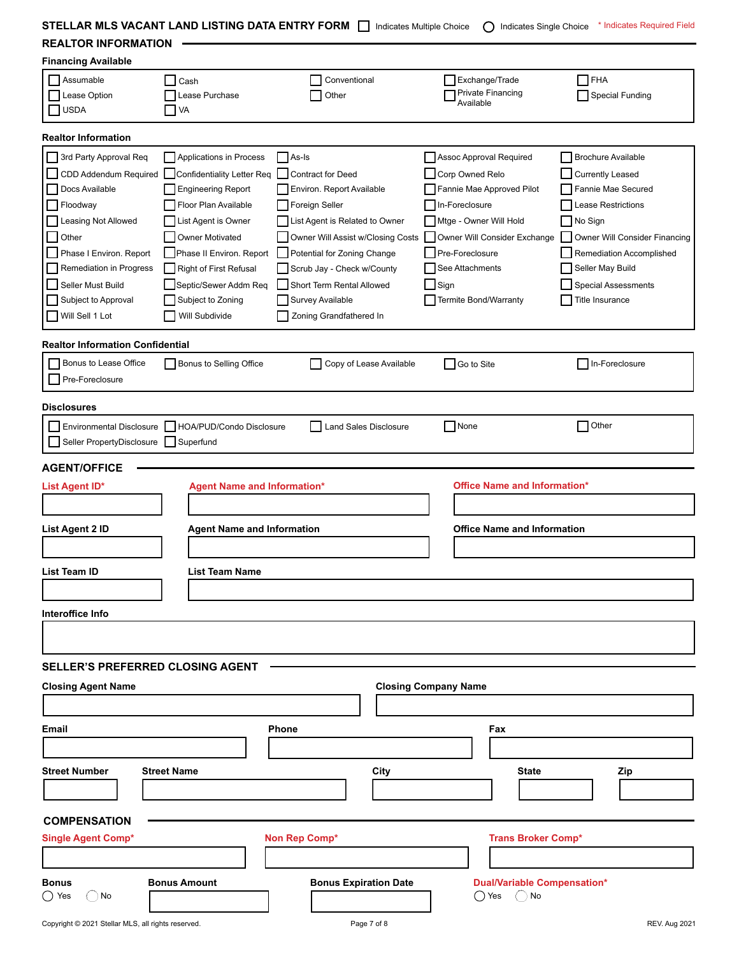**STELLAR MLS VACANT LAND LISTING DATA ENTRY FORM** Indicates Multiple Choice  $\bigcirc$  Indicates Single Choice \* Indicates Required Field **REALTOR INFORMATION**

|  |  | <b>KEALIUK INFUKWAIIUN</b> |  |
|--|--|----------------------------|--|
|  |  |                            |  |

| <b>Financing Available</b>                                             |                                    |                                   |                                                         |                               |
|------------------------------------------------------------------------|------------------------------------|-----------------------------------|---------------------------------------------------------|-------------------------------|
| Assumable<br>Lease Option                                              | Cash<br>Lease Purchase             | Conventional<br>Other             | Exchange/Trade<br><b>Private Financing</b><br>Available | FHA<br><b>Special Funding</b> |
| <b>USDA</b>                                                            | <b>TVA</b>                         |                                   |                                                         |                               |
| <b>Realtor Information</b>                                             |                                    |                                   |                                                         |                               |
| 3rd Party Approval Req                                                 | Applications in Process            | As-Is                             | Assoc Approval Required                                 | <b>Brochure Available</b>     |
| CDD Addendum Required                                                  | Confidentiality Letter Req         | <b>Contract for Deed</b>          | Corp Owned Relo                                         | <b>Currently Leased</b>       |
| Docs Available                                                         | <b>Engineering Report</b>          | Environ. Report Available         | Fannie Mae Approved Pilot                               | Fannie Mae Secured            |
| Floodway                                                               | Floor Plan Available               | Foreign Seller                    | In-Foreclosure                                          | Lease Restrictions            |
| Leasing Not Allowed                                                    | List Agent is Owner                | List Agent is Related to Owner    | Mtge - Owner Will Hold                                  | No Sign                       |
| Other                                                                  | <b>Owner Motivated</b>             | Owner Will Assist w/Closing Costs | Owner Will Consider Exchange<br>$\mathbf{L}$            | Owner Will Consider Financing |
| Phase I Environ. Report                                                | Phase II Environ. Report           | Potential for Zoning Change       | Pre-Foreclosure                                         | Remediation Accomplished      |
| Remediation in Progress                                                | Right of First Refusal             | Scrub Jay - Check w/County        | See Attachments                                         | Seller May Build              |
| Seller Must Build                                                      | Septic/Sewer Addm Req              | Short Term Rental Allowed         | $\sqcap$ Sign                                           | <b>Special Assessments</b>    |
| Subject to Approval                                                    | Subject to Zoning                  | <b>Survey Available</b>           | <b>Termite Bond/Warranty</b>                            | Title Insurance               |
| Will Sell 1 Lot                                                        | Will Subdivide                     | Zoning Grandfathered In           |                                                         |                               |
| <b>Realtor Information Confidential</b>                                |                                    |                                   |                                                         |                               |
| Bonus to Lease Office                                                  | Bonus to Selling Office            | Copy of Lease Available           | Go to Site                                              | □ In-Foreclosure              |
| Pre-Foreclosure                                                        |                                    |                                   |                                                         |                               |
| <b>Disclosures</b>                                                     |                                    |                                   |                                                         |                               |
|                                                                        |                                    |                                   |                                                         | Other                         |
| <b>Environmental Disclosure</b><br>Seller PropertyDisclosure Superfund | HOA/PUD/Condo Disclosure           | Land Sales Disclosure             | $\Box$ None                                             |                               |
|                                                                        |                                    |                                   |                                                         |                               |
| <b>AGENT/OFFICE</b>                                                    |                                    |                                   |                                                         |                               |
| List Agent ID*                                                         | <b>Agent Name and Information*</b> |                                   | <b>Office Name and Information*</b>                     |                               |
|                                                                        |                                    |                                   |                                                         |                               |
| List Agent 2 ID                                                        | <b>Agent Name and Information</b>  |                                   | <b>Office Name and Information</b>                      |                               |
|                                                                        |                                    |                                   |                                                         |                               |
|                                                                        |                                    |                                   |                                                         |                               |
| <b>List Team ID</b>                                                    | List Team Name                     |                                   |                                                         |                               |
|                                                                        |                                    |                                   |                                                         |                               |
| Interoffice Info                                                       |                                    |                                   |                                                         |                               |
|                                                                        |                                    |                                   |                                                         |                               |
|                                                                        |                                    |                                   |                                                         |                               |
| <b>SELLER'S PREFERRED CLOSING AGENT</b>                                |                                    |                                   |                                                         |                               |
| <b>Closing Agent Name</b>                                              |                                    |                                   | <b>Closing Company Name</b>                             |                               |
|                                                                        |                                    |                                   |                                                         |                               |
| <b>Email</b>                                                           |                                    | <b>Phone</b>                      | Fax                                                     |                               |
|                                                                        |                                    |                                   |                                                         |                               |
| <b>Street Number</b>                                                   | <b>Street Name</b>                 |                                   | <b>State</b>                                            |                               |
|                                                                        |                                    | City                              |                                                         | Zip                           |
|                                                                        |                                    |                                   |                                                         |                               |
| <b>COMPENSATION</b>                                                    |                                    |                                   |                                                         |                               |
| <b>Single Agent Comp*</b>                                              |                                    | Non Rep Comp*                     | <b>Trans Broker Comp*</b>                               |                               |
|                                                                        |                                    |                                   |                                                         |                               |
|                                                                        |                                    |                                   |                                                         |                               |
| <b>Bonus</b>                                                           | <b>Bonus Amount</b>                | <b>Bonus Expiration Date</b>      | <b>Dual/Variable Compensation*</b>                      |                               |
| ()Yes<br>) No                                                          |                                    |                                   | ()No<br>()Yes                                           |                               |